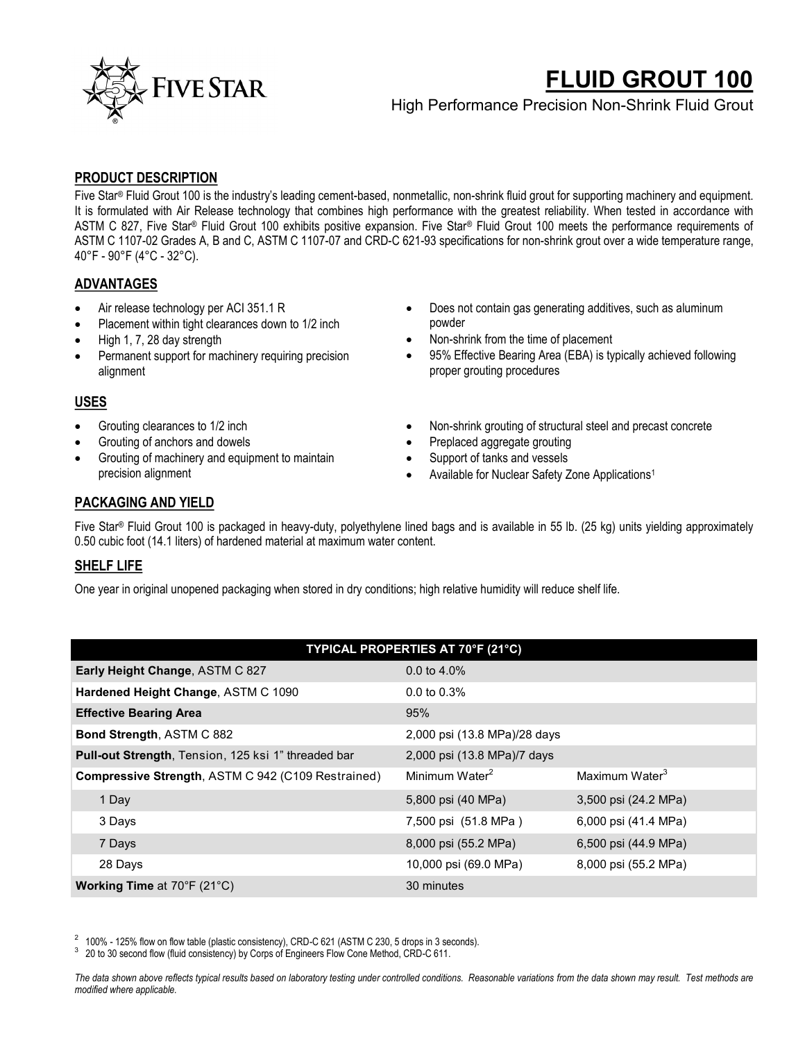

# **FLUID GROUT 100**

High Performance Precision Non-Shrink Fluid Grout

# **PRODUCT DESCRIPTION**

Five Star® Fluid Grout 100 is the industry's leading cement-based, nonmetallic, non-shrink fluid grout for supporting machinery and equipment. It is formulated with Air Release technology that combines high performance with the greatest reliability. When tested in accordance with ASTM C 827, Five Star® Fluid Grout 100 exhibits positive expansion. Five Star® Fluid Grout 100 meets the performance requirements of ASTM C 1107-02 Grades A, B and C, ASTM C 1107-07 and CRD-C 621-93 specifications for non-shrink grout over a wide temperature range, 40°F - 90°F (4°C - 32°C).

# **ADVANTAGES**

- Air release technology per ACI 351.1 R
- Placement within tight clearances down to 1/2 inch
- High 1, 7, 28 day strength
- Permanent support for machinery requiring precision alignment

# **USES**

- Grouting clearances to 1/2 inch
- Grouting of anchors and dowels
- Grouting of machinery and equipment to maintain precision alignment
- Does not contain gas generating additives, such as aluminum powder
- Non-shrink from the time of placement
- 95% Effective Bearing Area (EBA) is typically achieved following proper grouting procedures
- Non-shrink grouting of structural steel and precast concrete
- Preplaced aggregate grouting
- Support of tanks and vessels
- Available for Nuclear Safety Zone Applications<sup>1</sup>

# **PACKAGING AND YIELD**

Five Star® Fluid Grout 100 is packaged in heavy-duty, polyethylene lined bags and is available in 55 lb. (25 kg) units yielding approximately 0.50 cubic foot (14.1 liters) of hardened material at maximum water content.

## **SHELF LIFE**

One year in original unopened packaging when stored in dry conditions; high relative humidity will reduce shelf life.

| TYPICAL PROPERTIES AT 70°F (21°C)                          |                              |                            |  |
|------------------------------------------------------------|------------------------------|----------------------------|--|
| Early Height Change, ASTM C 827                            | $0.0 \text{ to } 4.0\%$      |                            |  |
| Hardened Height Change, ASTM C 1090                        | $0.0 \text{ to } 0.3\%$      |                            |  |
| <b>Effective Bearing Area</b>                              | 95%                          |                            |  |
| Bond Strength, ASTM C 882                                  | 2,000 psi (13.8 MPa)/28 days |                            |  |
| <b>Pull-out Strength, Tension, 125 ksi 1" threaded bar</b> | 2,000 psi (13.8 MPa)/7 days  |                            |  |
| Compressive Strength, ASTM C 942 (C109 Restrained)         | Minimum Water <sup>2</sup>   | Maximum Water <sup>3</sup> |  |
| 1 Day                                                      | 5,800 psi (40 MPa)           | 3,500 psi (24.2 MPa)       |  |
| 3 Days                                                     | 7,500 psi (51.8 MPa)         | 6,000 psi (41.4 MPa)       |  |
| 7 Days                                                     | 8,000 psi (55.2 MPa)         | 6,500 psi (44.9 MPa)       |  |
| 28 Days                                                    | 10,000 psi (69.0 MPa)        | 8,000 psi (55.2 MPa)       |  |
| <b>Working Time at 70°F (21°C)</b>                         | 30 minutes                   |                            |  |

 $2$  100% - 125% flow on flow table (plastic consistency), CRD-C 621 (ASTM C 230, 5 drops in 3 seconds).

<sup>3</sup> 20 to 30 second flow (fluid consistency) by Corps of Engineers Flow Cone Method, CRD-C 611.

*The data shown above reflects typical results based on laboratory testing under controlled conditions. Reasonable variations from the data shown may result. Test methods are modified where applicable.*